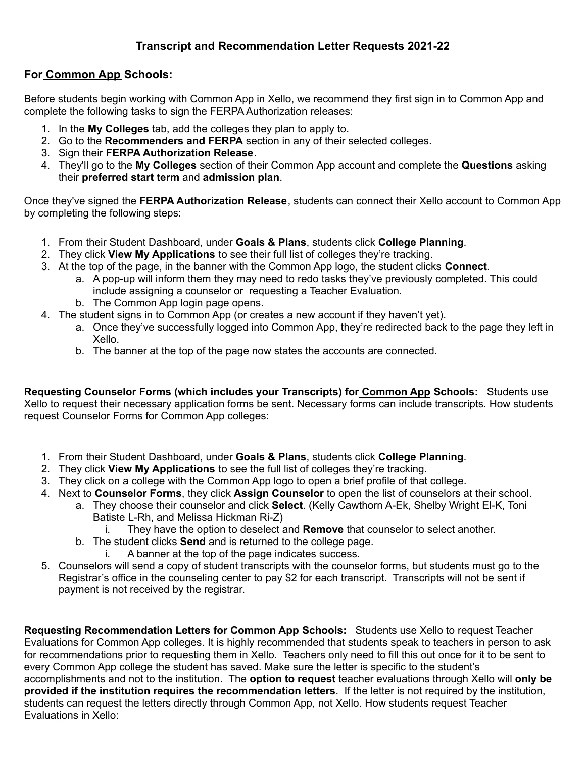## **Transcript and Recommendation Letter Requests 2021-22**

## **For Common App Schools:**

Before students begin working with Common App in Xello, we recommend they first sign in to Common App and complete the following tasks to sign the FERPA Authorization releases:

- 1. In the **My Colleges** tab, add the colleges they plan to apply to.
- 2. Go to the **Recommenders and FERPA** section in any of their selected colleges.
- 3. Sign their **FERPA Authorization Release**.
- 4. They'll go to the **My Colleges** section of their Common App account and complete the **Questions** asking their **preferred start term** and **admission plan**.

Once they've signed the **FERPA Authorization Release**, students can connect their Xello account to Common App by completing the following steps:

- 1. From their Student Dashboard, under **Goals & Plans**, students click **College Planning**.
- 2. They click **View My Applications** to see their full list of colleges they're tracking.
- 3. At the top of the page, in the banner with the Common App logo, the student clicks **Connect**.
	- a. A pop-up will inform them they may need to redo tasks they've previously completed. This could include assigning a counselor or requesting a Teacher Evaluation.
	- b. The Common App login page opens.
- 4. The student signs in to Common App (or creates a new account if they haven't yet).
	- a. Once they've successfully logged into Common App, they're redirected back to the page they left in Xello.
	- b. The banner at the top of the page now states the accounts are connected.

**Requesting Counselor Forms (which includes your Transcripts) for Common App Schools:** Students use Xello to request their necessary application forms be sent. Necessary forms can include transcripts. How students request Counselor Forms for Common App colleges:

- 1. From their Student Dashboard, under **Goals & Plans**, students click **College Planning**.
- 2. They click **View My Applications** to see the full list of colleges they're tracking.
- 3. They click on a college with the Common App logo to open a brief profile of that college.
- 4. Next to **Counselor Forms**, they click **Assign Counselor** to open the list of counselors at their school.
	- a. They choose their counselor and click **Select**. (Kelly Cawthorn A-Ek, Shelby Wright El-K, Toni Batiste L-Rh, and Melissa Hickman Ri-Z)
		- i. They have the option to deselect and **Remove** that counselor to select another.
	- b. The student clicks **Send** and is returned to the college page.
		- i. A banner at the top of the page indicates success.
- 5. Counselors will send a copy of student transcripts with the counselor forms, but students must go to the Registrar's office in the counseling center to pay \$2 for each transcript. Transcripts will not be sent if payment is not received by the registrar.

**Requesting Recommendation Letters for Common App Schools:** Students use Xello to request Teacher Evaluations for Common App colleges. It is highly recommended that students speak to teachers in person to ask for recommendations prior to requesting them in Xello. Teachers only need to fill this out once for it to be sent to every Common App college the student has saved. Make sure the letter is specific to the student's accomplishments and not to the institution. The **option to request** teacher evaluations through Xello will **only be provided if the institution requires the recommendation letters**. If the letter is not required by the institution, students can request the letters directly through Common App, not Xello. How students request Teacher Evaluations in Xello: